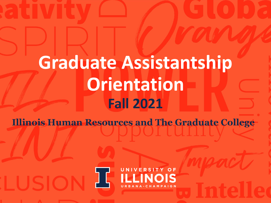# **Graduate Assistantship Orientation Fall 2021**

**Illinois Human Resources and The Graduate College**

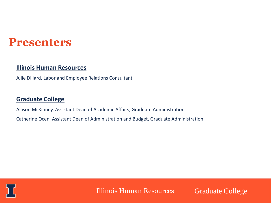### **Presenters**

#### **Illinois Human Resources**

Julie Dillard, Labor and Employee Relations Consultant

#### **Graduate College**

Allison McKinney, Assistant Dean of Academic Affairs, Graduate Administration Catherine Ocen, Assistant Dean of Administration and Budget, Graduate Administration



Illinois Human Resources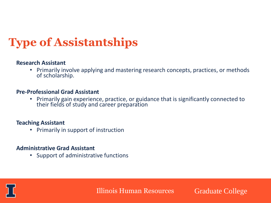## **Type of Assistantships**

#### **Research Assistant**

• Primarily involve applying and mastering research concepts, practices, or methods of scholarship.

#### **Pre-Professional Grad Assistant**

• Primarily gain experience, practice, or guidance that is significantly connected to their fields of study and career preparation

#### **Teaching Assistant**

• Primarily in support of instruction

#### **Administrative Grad Assistant**

• Support of administrative functions

Illinois Human Resources

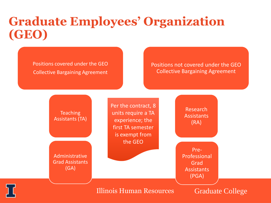### **Graduate Employees' Organization (GEO)**

Positions covered under the GEO Collective Bargaining Agreement

LER

#### Positions not covered under the GEO Collective Bargaining Agreement

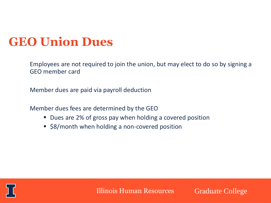### **GEO Union Dues**

Employees are not required to join the union, but may elect to do so by signing a GEO member card

Member dues are paid via payroll deduction

Member dues fees are determined by the GEO

- Dues are 2% of gross pay when holding a covered position
- \$8/month when holding a non-covered position



Illinois Human Resources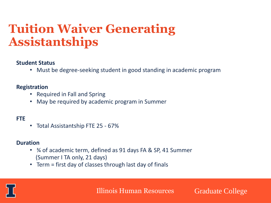### **Tuition Waiver Generating Assistantships**

#### **Student Status**

• Must be degree-seeking student in good standing in academic program

#### **Registration**

- Required in Fall and Spring
- May be required by academic program in Summer

#### **FTE**

• Total Assistantship FTE 25 - 67%

#### **Duration**

- ¾ of academic term, defined as 91 days FA & SP, 41 Summer (Summer I TA only, 21 days)
- Term = first day of classes through last day of finals

Illinois Human Resources

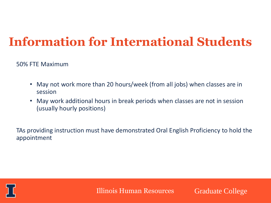### **Information for International Students**

50% FTE Maximum

- May not work more than 20 hours/week (from all jobs) when classes are in session
- May work additional hours in break periods when classes are not in session (usually hourly positions)

TAs providing instruction must have demonstrated Oral English Proficiency to hold the appointment



Illinois Human Resources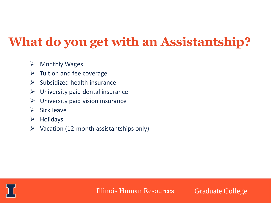# **What do you get with an Assistantship?**

- $\triangleright$  Monthly Wages
- $\triangleright$  Tuition and fee coverage
- $\triangleright$  Subsidized health insurance
- $\triangleright$  University paid dental insurance
- $\triangleright$  University paid vision insurance
- $\triangleright$  Sick leave
- ➢ Holidays
- $\triangleright$  Vacation (12-month assistantships only)



Illinois Human Resources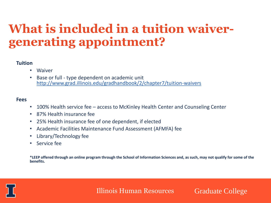### **What is included in a tuition waivergenerating appointment?**

#### **Tuition**

- Waiver
- Base or full type dependent on academic unit http://www.grad.illinois.edu/gradhandbook/2/chapter7/tuition-waivers

#### **Fees**

- 100% Health service fee access to McKinley Health Center and Counseling Center
- 87% Health insurance fee
- 25% Health insurance fee of one dependent, if elected
- Academic Facilities Maintenance Fund Assessment (AFMFA) fee
- Library/Technology fee
- Service fee

**\*LEEP offered through an online program through the School of Information Sciences and, as such, may not qualify for some of the benefits.** 



Illinois Human Resources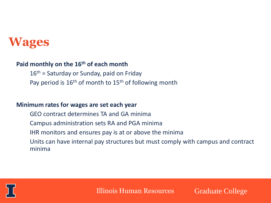### **Wages**

#### **Paid monthly on the 16th of each month**

 $16<sup>th</sup>$  = Saturday or Sunday, paid on Friday Pay period is  $16<sup>th</sup>$  of month to  $15<sup>th</sup>$  of following month

#### **Minimum rates for wages are set each year**

- GEO contract determines TA and GA minima
- Campus administration sets RA and PGA minima
- IHR monitors and ensures pay is at or above the minima
- Units can have internal pay structures but must comply with campus and contract minima



Illinois Human Resources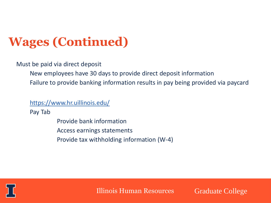# **Wages (Continued)**

Must be paid via direct deposit

New employees have 30 days to provide direct deposit information

Failure to provide banking information results in pay being provided via paycard

https://www.hr.uillinois.edu/

Pay Tab

Provide bank information Access earnings statements Provide tax withholding information (W-4)



Illinois Human Resources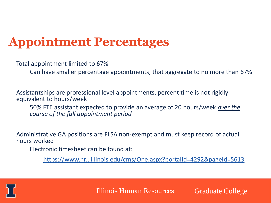### **Appointment Percentages**

Total appointment limited to 67%

Can have smaller percentage appointments, that aggregate to no more than 67%

Assistantships are professional level appointments, percent time is not rigidly equivalent to hours/week

50% FTE assistant expected to provide an average of 20 hours/week *over the course of the full appointment period*

Administrative GA positions are FLSA non-exempt and must keep record of actual hours worked

Electronic timesheet can be found at:

https://www.hr.uillinois.edu/cms/One.aspx?portalId=4292&pageId=5613



Illinois Human Resources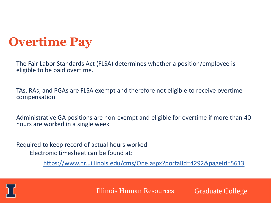### **Overtime Pay**

The Fair Labor Standards Act (FLSA) determines whether a position/employee is eligible to be paid overtime.

TAs, RAs, and PGAs are FLSA exempt and therefore not eligible to receive overtime compensation

Administrative GA positions are non-exempt and eligible for overtime if more than 40 hours are worked in a single week

Required to keep record of actual hours worked Electronic timesheet can be found at:

https://www.hr.uillinois.edu/cms/One.aspx?portalId=4292&pageId=5613



Illinois Human Resources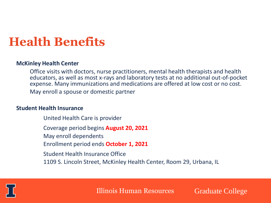### **Health Benefits**

#### **McKinley Health Center**

Office visits with doctors, nurse practitioners, mental health therapists and health educators, as well as most x-rays and laboratory tests at no additional out-of-pocket expense. Many immunizations and medications are offered at low cost or no cost. May enroll a spouse or domestic partner

#### **Student Health Insurance**

United Health Care is provider Coverage period begins **August 20, 2021** May enroll dependents Enrollment period ends **October 1, 2021** Student Health Insurance Office 1109 S. Lincoln Street, McKinley Health Center, Room 29, Urbana, IL



Illinois Human Resources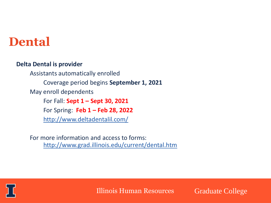### **Dental**

#### **Delta Dental is provider**

Assistants automatically enrolled Coverage period begins **September 1, 2021** May enroll dependents For Fall: **Sept 1 – Sept 30, 2021** For Spring: **Feb 1 – Feb 28, 2022** http://www.deltadentalil.com/

For more information and access to forms: http://www.grad.illinois.edu/current/dental.htm



Illinois Human Resources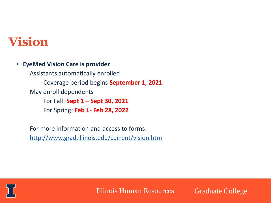### **Vision**

• **EyeMed Vision Care is provider**

Assistants automatically enrolled Coverage period begins **September 1, 2021** May enroll dependents For Fall: **Sept 1 – Sept 30, 2021** For Spring: **Feb 1- Feb 28, 2022**

For more information and access to forms: http://www.grad.illinois.edu/current/vision.htm



Illinois Human Resources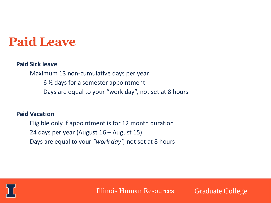### **Paid Leave**

#### **Paid Sick leave**

Maximum 13 non-cumulative days per year 6 ½ days for a semester appointment Days are equal to your "work day", not set at 8 hours

#### **Paid Vacation**

Eligible only if appointment is for 12 month duration 24 days per year (August 16 – August 15) Days are equal to your *"work day",* not set at 8 hours



Illinois Human Resources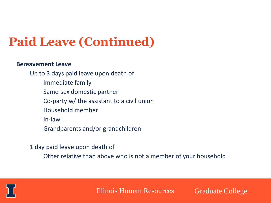# **Paid Leave (Continued)**

#### **Bereavement Leave**

Up to 3 days paid leave upon death of Immediate family Same-sex domestic partner Co-party w/ the assistant to a civil union Household member In-law Grandparents and/or grandchildren

- 1 day paid leave upon death of
	- Other relative than above who is not a member of your household



Illinois Human Resources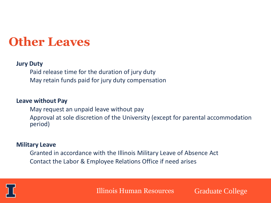### **Other Leaves**

#### **Jury Duty**

Paid release time for the duration of jury duty May retain funds paid for jury duty compensation

#### **Leave without Pay**

May request an unpaid leave without pay Approval at sole discretion of the University (except for parental accommodation period)

#### **Military Leave**

Granted in accordance with the Illinois Military Leave of Absence Act Contact the Labor & Employee Relations Office if need arises



Illinois Human Resources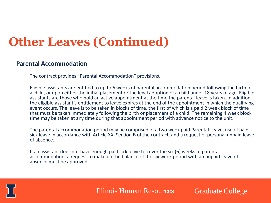## **Other Leaves (Continued)**

#### **Parental Accommodation**

The contract provides "Parental Accommodation" provisions.

Eligible assistants are entitled to up to 6 weeks of parental accommodation period following the birth of a child, or upon either the initial placement or the legal adoption of a child under 18 years of age. Eligible assistants are those who hold an active appointment at the time the parental leave is taken. In addition, the eligible assistant's entitlement to leave expires at the end of the appointment in which the qualifying event occurs. The leave is to be taken in blocks of time, the first of which is a paid 2 week block of time that must be taken immediately following the birth or placement of a child. The remaining 4 week block time may be taken at any time during that appointment period with advance notice to the unit.

The parental accommodation period may be comprised of a two week paid Parental Leave, use of paid sick leave in accordance with Article XX, Section B of the contract, and a request of personal unpaid leave of absence.

If an assistant does not have enough paid sick leave to cover the six (6) weeks of parental accommodation, a request to make up the balance of the six week period with an unpaid leave of absence must be approved.



Illinois Human Resources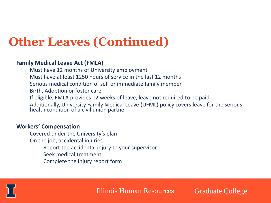## **Other Leaves (Continued)**

#### **Family Medical Leave Act (FMLA)**

Must have 12 months of University employment Must have at least 1250 hours of service in the last 12 months Serious medical condition of self or immediate family member Birth, Adoption or foster care If eligible, FMLA provides 12 weeks of leave, leave not required to be paid Additionally, University Family Medical Leave (UFML) policy covers leave for the serious health condition of a civil union partner

#### **Workers' Compensation**

Covered under the University's plan On the job, accidental injuries Report the accidental injury to your supervisor Seek medical treatment Complete the injury report form



Illinois Human Resources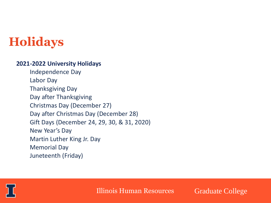### **Holidays**

#### **2021-2022 University Holidays**

Independence Day Labor Day Thanksgiving Day Day after Thanksgiving Christmas Day (December 27) Day after Christmas Day (December 28) Gift Days (December 24, 29, 30, & 31, 2020) New Year's Day Martin Luther King Jr. Day Memorial Day Juneteenth (Friday)



Illinois Human Resources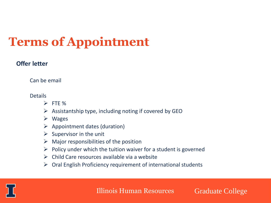# **Terms of Appointment**

#### **Offer letter**

Can be email

Details

- ➢ FTE %
- $\triangleright$  Assistantship type, including noting if covered by GEO
- ➢ Wages
- $\triangleright$  Appointment dates (duration)
- $\triangleright$  Supervisor in the unit
- $\triangleright$  Major responsibilities of the position
- $\triangleright$  Policy under which the tuition waiver for a student is governed
- $\triangleright$  Child Care resources available via a website
- $\triangleright$  Oral English Proficiency requirement of international students

LER

Illinois Human Resources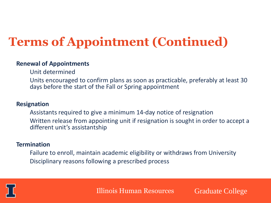# **Terms of Appointment (Continued)**

#### **Renewal of Appointments**

Unit determined

Units encouraged to confirm plans as soon as practicable, preferably at least 30 days before the start of the Fall or Spring appointment

#### **Resignation**

Assistants required to give a minimum 14-day notice of resignation Written release from appointing unit if resignation is sought in order to accept a different unit's assistantship

#### **Termination**

Failure to enroll, maintain academic eligibility or withdraws from University Disciplinary reasons following a prescribed process



Illinois Human Resources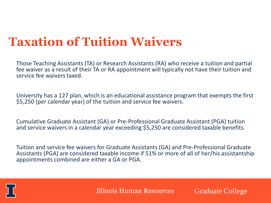### **Taxation of Tuition Waivers**

Those Teaching Assistants (TA) or Research Assistants (RA) who receive a tuition and partial fee waiver as a result of their TA or RA appointment will typically not have their tuition and service fee waivers taxed.

University has a 127 plan, which is an educational assistance program that exempts the first \$5,250 (per calendar year) of the tuition and service fee waivers.

Cumulative Graduate Assistant (GA) or Pre-Professional Graduate Assistant (PGA) tuition and service waivers in a calendar year exceeding \$5,250 are considered taxable benefits.

Tuition and service fee waivers for Graduate Assistants (GA) and Pre-Professional Graduate Assistants (PGA) are considered taxable income if 51% or more of all of her/his assistantship appointments combined are either a GA or PGA.



Illinois Human Resources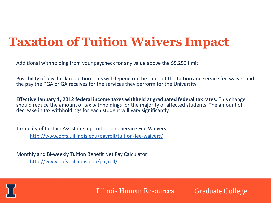## **Taxation of Tuition Waivers Impact**

Additional withholding from your paycheck for any value above the \$5,250 limit.

Possibility of paycheck reduction. This will depend on the value of the tuition and service fee waiver and the pay the PGA or GA receives for the services they perform for the University.

**Effective January 1, 2012 federal income taxes withheld at graduated federal tax rates.** This change should reduce the amount of tax withholdings for the majority of affected students. The amount of decrease in tax withholdings for each student will vary significantly.

Taxability of Certain Assistantship Tuition and Service Fee Waivers: http://www.obfs.uillinois.edu/payroll/tuition-fee-waivers/

Monthly and Bi-weekly Tuition Benefit Net Pay Calculator: http://www.obfs.uillinois.edu/payroll/



Illinois Human Resources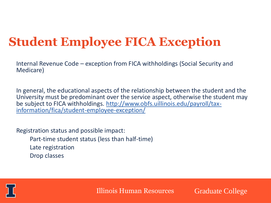## **Student Employee FICA Exception**

Internal Revenue Code – exception from FICA withholdings (Social Security and Medicare)

In general, the educational aspects of the relationship between the student and the University must be predominant over the service aspect, otherwise the student may be subject to FICA withholdings. http://www.obfs.uillinois.edu/payroll/taxinformation/fica/student-employee-exception/

Registration status and possible impact:

- Part-time student status (less than half-time)
- Late registration
- Drop classes

LER

Illinois Human Resources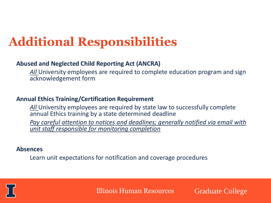## **Additional Responsibilities**

#### **Abused and Neglected Child Reporting Act (ANCRA)**

*All* University employees are required to complete education program and sign acknowledgement form

#### **Annual Ethics Training/Certification Requirement**

*All* University employees are required by state law to successfully complete annual Ethics training by a state determined deadline

*Pay careful attention to notices and deadlines; generally notified via email with unit staff responsible for monitoring completion*

#### **Absences**

Learn unit expectations for notification and coverage procedures



Illinois Human Resources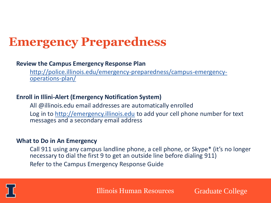### **Emergency Preparedness**

#### **Review the Campus Emergency Response Plan**

http://police.illinois.edu/emergency-preparedness/campus-emergencyoperations-plan/

#### **Enroll in Illini-Alert (Emergency Notification System)**

All @illinois.edu email addresses are automatically enrolled Log in to http://emergency.illinois.edu to add your cell phone number for text messages and a secondary email address

#### **What to Do in An Emergency**

Call 911 using any campus landline phone, a cell phone, or Skype\* (it's no longer necessary to dial the first 9 to get an outside line before dialing 911) Refer to the Campus Emergency Response Guide



Illinois Human Resources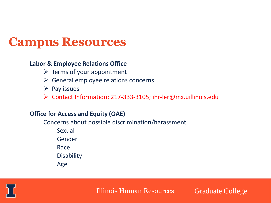### **Campus Resources**

#### **Labor & Employee Relations Office**

- $\triangleright$  Terms of your appointment
- $\triangleright$  General employee relations concerns
- ➢ Pay issues
- ➢ Contact Information: 217-333-3105; ihr-ler@mx.uillinois.edu

#### **Office for Access and Equity (OAE)**

Concerns about possible discrimination/harassment Sexual Gender

Race

**Disability** 

Age



Illinois Human Resources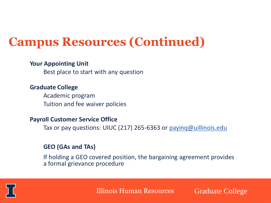### **Campus Resources (Continued)**

#### **Your Appointing Unit**

Best place to start with any question

#### **Graduate College**

Academic program Tuition and fee waiver policies

#### **Payroll Customer Service Office**

Tax or pay questions: UIUC (217) 265-6363 or payinq@uillinois.edu

#### **GEO (GAs and TAs)**

If holding a GEO covered position, the bargaining agreement provides a formal grievance procedure



Illinois Human Resources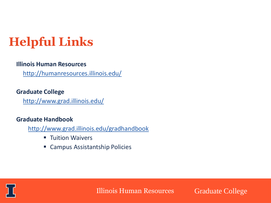# **Helpful Links**

#### **Illinois Human Resources**

http://humanresources.illinois.edu/

#### **Graduate College**

http://www.grad.illinois.edu/

#### **Graduate Handbook**

http://www.grad.illinois.edu/gradhandbook

- **E** Tuition Waivers
- Campus Assistantship Policies



Illinois Human Resources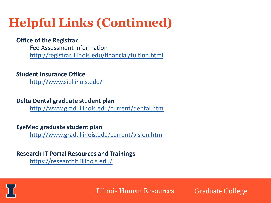# **Helpful Links (Continued)**

#### **Office of the Registrar**

Fee Assessment Information http://registrar.illinois.edu/financial/tuition.html

#### **Student Insurance Office**

http://www.si.illinois.edu/

#### **Delta Dental graduate student plan**

http://www.grad.illinois.edu/current/dental.htm

#### **EyeMed graduate student plan**

http://www.grad.illinois.edu/current/vision.htm

#### **Research IT Portal Resources and Trainings** https://researchit.illinois.edu/



Illinois Human Resources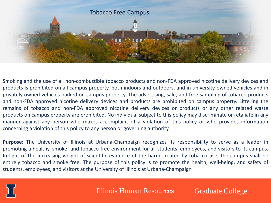

Smoking and the use of all non-combustible tobacco products and non-FDA approved nicotine delivery devices and products is prohibited on all campus property, both indoors and outdoors, and in university-owned vehicles and in privately owned vehicles parked on campus property. The advertising, sale, and free sampling of tobacco products and non-FDA approved nicotine delivery devices and products are prohibited on campus property. Littering the remains of tobacco and non-FDA approved nicotine delivery devices or products or any other related waste products on campus property are prohibited. No individual subject to this policy may discriminate or retaliate in any manner against any person who makes a complaint of a violation of this policy or who provides information concerning a violation of this policy to any person or governing authority.

**Purpose:** The University of Illinois at Urbana-Champaign recognizes its responsibility to serve as a leader in promoting a healthy, smoke- and tobacco-free environment for all students, employees, and visitors to its campus. In light of the increasing weight of scientific evidence of the harm created by tobacco use, the campus shall be entirely tobacco and smoke free. The purpose of this policy is to promote the health, well-being, and safety of students, employees, and visitors at the University of Illinois at Urbana-Champaign



Illinois Human Resources